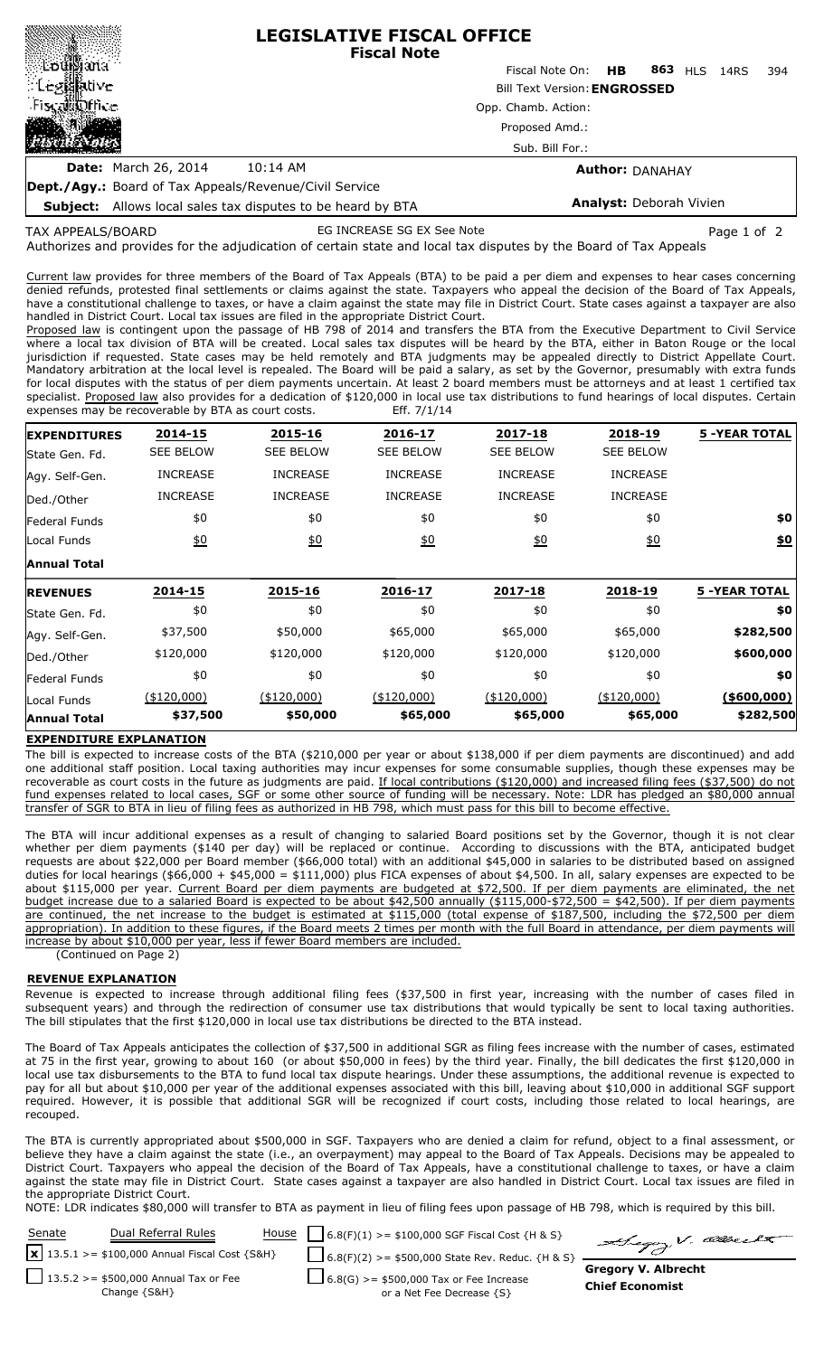| <b>LEGISLATIVE FISCAL OFFICE</b><br><b>Fiscal Note</b>        |                                                          |  |  |  |  |
|---------------------------------------------------------------|----------------------------------------------------------|--|--|--|--|
|                                                               | Fiscal Note On: <b>HB</b><br>863 HLS<br>394<br>14RS      |  |  |  |  |
|                                                               | <b>Bill Text Version: ENGROSSED</b>                      |  |  |  |  |
| Fiscal fine                                                   | Opp. Chamb. Action:<br>Proposed Amd.:<br>Sub. Bill For.: |  |  |  |  |
|                                                               |                                                          |  |  |  |  |
|                                                               |                                                          |  |  |  |  |
| <b>Date:</b> March 26, 2014<br>10:14 AM                       | <b>Author: DANAHAY</b>                                   |  |  |  |  |
| <b>Dept./Agy.:</b> Board of Tax Appeals/Revenue/Civil Service |                                                          |  |  |  |  |

**Subject:** Allows local sales tax disputes to be heard by BTA

# **Analyst:** Deborah Vivien

TAX APPEALS/BOARD

880000000000000000000000

EG INCREASE SG EX See Note **Page 1 of 2** Page 1 of 2

Authorizes and provides for the adjudication of certain state and local tax disputes by the Board of Tax Appeals

Current law provides for three members of the Board of Tax Appeals (BTA) to be paid a per diem and expenses to hear cases concerning denied refunds, protested final settlements or claims against the state. Taxpayers who appeal the decision of the Board of Tax Appeals, have a constitutional challenge to taxes, or have a claim against the state may file in District Court. State cases against a taxpayer are also handled in District Court. Local tax issues are filed in the appropriate District Court.

Proposed law is contingent upon the passage of HB 798 of 2014 and transfers the BTA from the Executive Department to Civil Service where a local tax division of BTA will be created. Local sales tax disputes will be heard by the BTA, either in Baton Rouge or the local jurisdiction if requested. State cases may be held remotely and BTA judgments may be appealed directly to District Appellate Court. Mandatory arbitration at the local level is repealed. The Board will be paid a salary, as set by the Governor, presumably with extra funds for local disputes with the status of per diem payments uncertain. At least 2 board members must be attorneys and at least 1 certified tax specialist. Proposed law also provides for a dedication of \$120,000 in local use tax distributions to fund hearings of local disputes. Certain expenses may be recoverable by BTA as court costs. Eff. 7/1/14

| <b>EXPENDITURES</b> | 2014-15          | 2015-16          | 2016-17          | 2017-18          | 2018-19          | <b>5 -YEAR TOTAL</b> |
|---------------------|------------------|------------------|------------------|------------------|------------------|----------------------|
| State Gen. Fd.      | <b>SEE BELOW</b> | <b>SEE BELOW</b> | <b>SEE BELOW</b> | <b>SEE BELOW</b> | <b>SEE BELOW</b> |                      |
| Agy. Self-Gen.      | <b>INCREASE</b>  | <b>INCREASE</b>  | <b>INCREASE</b>  | <b>INCREASE</b>  | <b>INCREASE</b>  |                      |
| Ded./Other          | <b>INCREASE</b>  | <b>INCREASE</b>  | <b>INCREASE</b>  | <b>INCREASE</b>  | <b>INCREASE</b>  |                      |
| Federal Funds       | \$0              | \$0              | \$0              | \$0              | \$0              | \$0                  |
| Local Funds         | 60               | 60               | 60               | 60               | 60               | \$0                  |
| Annual Total        |                  |                  |                  |                  |                  |                      |
| <b>REVENUES</b>     | 2014-15          | 2015-16          | 2016-17          | 2017-18          | 2018-19          | <b>5 -YEAR TOTAL</b> |
| State Gen. Fd.      | \$0              | \$0              | \$0              | \$0              | \$0              | \$0                  |
| Agy. Self-Gen.      | \$37,500         | \$50,000         | \$65,000         | \$65,000         | \$65,000         | \$282,500            |
| Ded./Other          | \$120,000        | \$120,000        | \$120,000        | \$120,000        | \$120,000        | \$600,000            |
| Federal Funds       | \$0              | \$0              | \$0              | \$0              | \$0              | \$0                  |
| Local Funds         | (\$120,000)      | $($ \$120,000)   | (\$120,000)      | ( \$120,000)     | (\$120,000)      | ( \$600,000)         |
| <b>Annual Total</b> | \$37,500         | \$50,000         | \$65,000         | \$65,000         | \$65,000         | \$282,500            |

### **EXPENDITURE EXPLANATION**

The bill is expected to increase costs of the BTA (\$210,000 per year or about \$138,000 if per diem payments are discontinued) and add one additional staff position. Local taxing authorities may incur expenses for some consumable supplies, though these expenses may be recoverable as court costs in the future as judgments are paid. If local contributions (\$120,000) and increased filing fees (\$37,500) do not fund expenses related to local cases, SGF or some other source of funding will be necessary. Note: LDR has pledged an \$80,000 annual transfer of SGR to BTA in lieu of filing fees as authorized in HB 798, which must pass for this bill to become effective.

The BTA will incur additional expenses as a result of changing to salaried Board positions set by the Governor, though it is not clear whether per diem payments (\$140 per day) will be replaced or continue. According to discussions with the BTA, anticipated budget requests are about \$22,000 per Board member (\$66,000 total) with an additional \$45,000 in salaries to be distributed based on assigned duties for local hearings (\$66,000 + \$45,000 = \$111,000) plus FICA expenses of about \$4,500. In all, salary expenses are expected to be about \$115,000 per year. Current Board per diem payments are budgeted at \$72,500. If per diem payments are eliminated, the net budget increase due to a salaried Board is expected to be about \$42,500 annually (\$115,000-\$72,500 = \$42,500). If per diem payments are continued, the net increase to the budget is estimated at \$115,000 (total expense of \$187,500, including the \$72,500 per diem appropriation). In addition to these figures, if the Board meets 2 times per month with the full Board in attendance, per diem payments will increase by about \$10,000 per year, less if fewer Board members are included. (

(Continued on Page 2)

### **REVENUE EXPLANATION**

Revenue is expected to increase through additional filing fees (\$37,500 in first year, increasing with the number of cases filed in subsequent years) and through the redirection of consumer use tax distributions that would typically be sent to local taxing authorities. The bill stipulates that the first \$120,000 in local use tax distributions be directed to the BTA instead.

The Board of Tax Appeals anticipates the collection of \$37,500 in additional SGR as filing fees increase with the number of cases, estimated at 75 in the first year, growing to about 160 (or about \$50,000 in fees) by the third year. Finally, the bill dedicates the first \$120,000 in local use tax disbursements to the BTA to fund local tax dispute hearings. Under these assumptions, the additional revenue is expected to pay for all but about \$10,000 per year of the additional expenses associated with this bill, leaving about \$10,000 in additional SGF support required. However, it is possible that additional SGR will be recognized if court costs, including those related to local hearings, are recouped.

The BTA is currently appropriated about \$500,000 in SGF. Taxpayers who are denied a claim for refund, object to a final assessment, or believe they have a claim against the state (i.e., an overpayment) may appeal to the Board of Tax Appeals. Decisions may be appealed to District Court. Taxpayers who appeal the decision of the Board of Tax Appeals, have a constitutional challenge to taxes, or have a claim against the state may file in District Court. State cases against a taxpayer are also handled in District Court. Local tax issues are filed in the appropriate District Court.

NOTE: LDR indicates \$80,000 will transfer to BTA as payment in lieu of filing fees upon passage of HB 798, which is required by this bill.